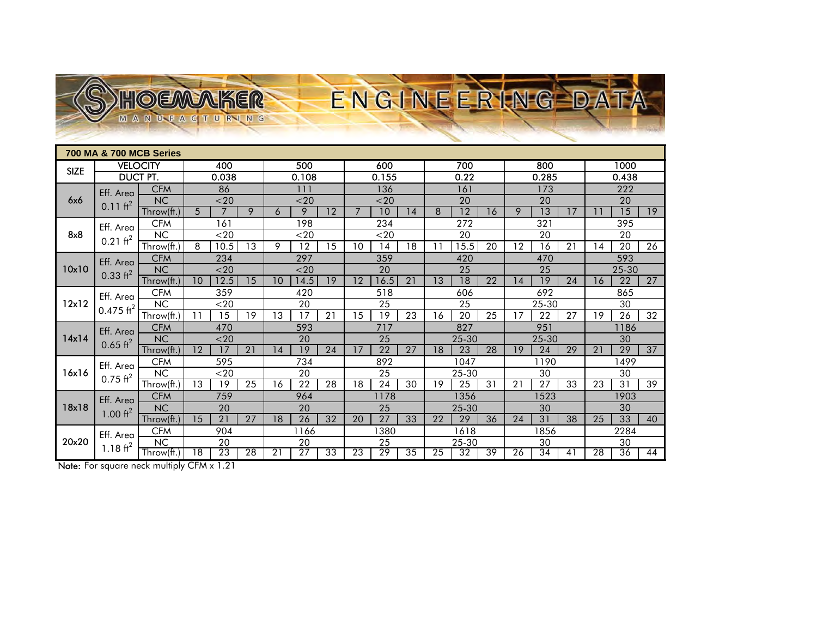| <b>700 MA &amp; 700 MCB Series</b> |                                      |                         |                 |                 |                 |                 |                 |     |                 |                 |                 |                 |          |                 |                 |     |      |                 |                 |    |
|------------------------------------|--------------------------------------|-------------------------|-----------------|-----------------|-----------------|-----------------|-----------------|-----|-----------------|-----------------|-----------------|-----------------|----------|-----------------|-----------------|-----|------|-----------------|-----------------|----|
| <b>SIZE</b>                        | <b>VELOCITY</b>                      |                         | 400             |                 | 500             |                 |                 | 600 |                 |                 | 700             |                 |          | 800             |                 |     | 1000 |                 |                 |    |
|                                    | <b>DUCT PT.</b>                      |                         | 0.038           |                 |                 | 0.108           |                 |     | 0.155           |                 |                 | 0.22            |          |                 | 0.285           |     |      | 0.438           |                 |    |
| 6x6                                | Eff. Area<br>$0.11 \text{ ft}^2$     | <b>CFM</b>              | 86              |                 |                 | 111             |                 |     | 136             |                 |                 | 161             |          |                 | 173             |     |      | 222             |                 |    |
|                                    |                                      | <b>NC</b>               | $20$            |                 |                 | $20$            |                 |     | $20$            |                 |                 | 20              |          |                 | 20              |     |      | 20              |                 |    |
|                                    |                                      | Throw(ft.)              | 5               | $\overline{7}$  | 9               | 6               | 9               | 12  | $\overline{7}$  | 10              | 14              | 8               | 12       | 16              | 9               | 13  | 17   |                 | $\overline{15}$ | 19 |
| 8x8                                | Eff. Area<br>$0.21 \text{ ft}^2$     | <b>CFM</b>              | 161             |                 |                 | 198             |                 |     | 234             |                 |                 | 272             |          |                 | 321             |     |      | 395             |                 |    |
|                                    |                                      | NC                      |                 | $20$            |                 |                 | $20$            |     |                 | $20$            |                 |                 | 20       |                 |                 | 20  |      |                 | 20              |    |
|                                    |                                      | Throw(ft.)              | 8               | 10.5            | 13              | 9               | 12              | 15  | 10              | 14              | 18              | 11              | 15.5     | 20              | 12              | 16  | 21   | 14              | 20              | 26 |
| 10x10                              | Eff. Area<br>$0.33 \text{ ft}^2$     | <b>CFM</b><br><b>NC</b> | 234<br>$20$     |                 |                 | 297             |                 |     | 359<br>20       |                 |                 | 420             |          |                 | 470<br>25       |     |      | 593<br>25-30    |                 |    |
|                                    |                                      | Throw(ft.)              | 10              | 12.5            | 15              | 10              | $20$<br>14.5    | 19  | 12              | 16.5            | 21              | 13              | 25<br>18 | 22              | 14              | 19  | 24   | 16              | 22              | 27 |
| 12x12                              | Eff. Area<br>$0.475$ ft <sup>2</sup> | <b>CFM</b>              |                 | 359             |                 |                 | 420             |     |                 | 518             |                 |                 | 606      |                 |                 | 692 |      |                 | 865             |    |
|                                    |                                      | NC                      | $20$            |                 |                 | 20              |                 |     | 25              |                 |                 | 25              |          |                 | 25-30           |     |      | 30              |                 |    |
|                                    |                                      | Throw(ft.)              | 11              | 15              | 19              | 13              | 17              | 21  | 15              | 19              | 23              | 16              | 20       | 25              | 17              | 22  | 27   | 19              | $\overline{26}$ | 32 |
| 14x14                              | Eff. Area<br>$0.65$ ft <sup>2</sup>  | <b>CFM</b>              | 470             |                 |                 | 593             |                 |     | 717             |                 |                 | 827             |          |                 | 951             |     |      | 1186            |                 |    |
|                                    |                                      | <b>NC</b>               | $20$            |                 |                 | 20              |                 |     | 25              |                 |                 | 25-30           |          |                 | 25-30           |     |      | 30              |                 |    |
|                                    |                                      | Throw(ft.)              | 12              | 17              | 21              | 14              | 19              | 24  | 17              | 22              | 27              | 18              | 23       | 28              | 19              | 24  | 29   | 21              | 29              | 37 |
| 16x16                              | Eff. Area<br>$0.75 \text{ ft}^2$     | <b>CFM</b>              | 595             |                 |                 | 734             |                 |     | 892             |                 |                 | 1047            |          |                 | 1190            |     |      | 1499            |                 |    |
|                                    |                                      | <b>NC</b>               |                 | $20$            |                 |                 | 20              |     |                 | 25              |                 |                 | 25-30    |                 |                 | 30  |      |                 | 30              |    |
|                                    |                                      | Throw( <b>ft</b> .)     | 13              | 19              | 25              | 16              | 22              | 28  | 18              | 24              | 30              | 19              | 25       | 31              | 21              | 27  | 33   | 23              | 31              | 39 |
| 18x18                              | Eff. Area<br>$1.00 \text{ ft}^2$     | <b>CFM</b>              | 759             |                 |                 | 964             |                 |     | 1178            |                 |                 | 1356            |          |                 | 1523            |     |      | 1903            |                 |    |
|                                    |                                      | <b>NC</b>               |                 | 20              |                 |                 | 20              |     |                 | 25              |                 |                 | 25-30    |                 |                 | 30  |      |                 | 30              |    |
| 20x20                              | Eff. Area<br>1.18 $ft2$              | Throw(ft.               | 15              | $\overline{21}$ | 27              | 18              | $\overline{26}$ | 32  | 20              | $\overline{27}$ | 33              | 22              | 29       | 36              | 24              | 31  | 38   | 25              | 33              | 40 |
|                                    |                                      | <b>CFM</b><br>NC        | 904<br>20       |                 |                 | 1166<br>20      |                 |     | 1380<br>25      |                 |                 | 1618<br>25-30   |          |                 | 856<br>30       |     |      | 2284<br>30      |                 |    |
|                                    |                                      | Throw(ft.)              | $\overline{18}$ | 23              | $\overline{28}$ | $\overline{21}$ | 27              | 33  | $\overline{23}$ | 29              | $\overline{35}$ | $\overline{25}$ | 32       | $\overline{39}$ | $\overline{26}$ | 34  | 41   | $\overline{28}$ | 36              | 44 |
|                                    |                                      |                         |                 |                 |                 |                 |                 |     |                 |                 |                 |                 |          |                 |                 |     |      |                 |                 |    |

ENGINEERING DA

Note: For square neck multiply CFM x 1.21

HOEMAKER ANUEACTURING

**M**